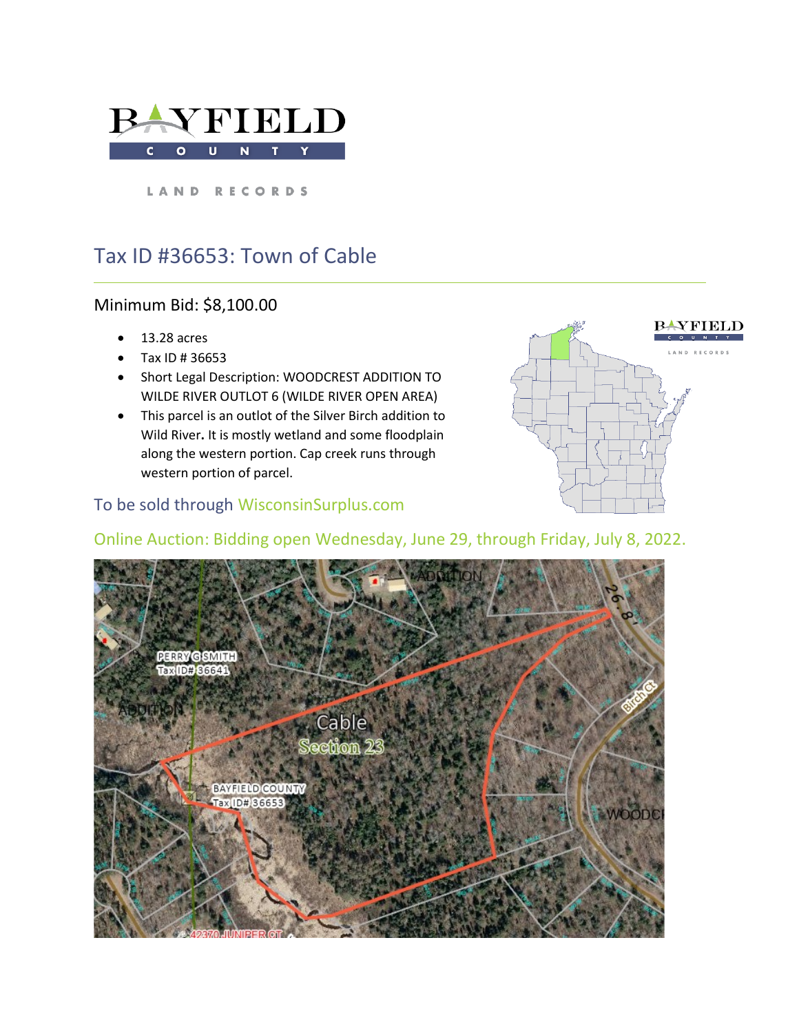

LAND RECORDS

# Tax ID #36653: Town of Cable

### Minimum Bid: \$8,100.00

- 13.28 acres
- Tax ID # 36653
- Short Legal Description: WOODCREST ADDITION TO WILDE RIVER OUTLOT 6 (WILDE RIVER OPEN AREA)
- This parcel is an outlot of the Silver Birch addition to Wild River**.** It is mostly wetland and some floodplain along the western portion. Cap creek runs through western portion of parcel.

## To be sold through WisconsinSurplus.com



### Online Auction: Bidding open Wednesday, June 29, through Friday, July 8, 2022.

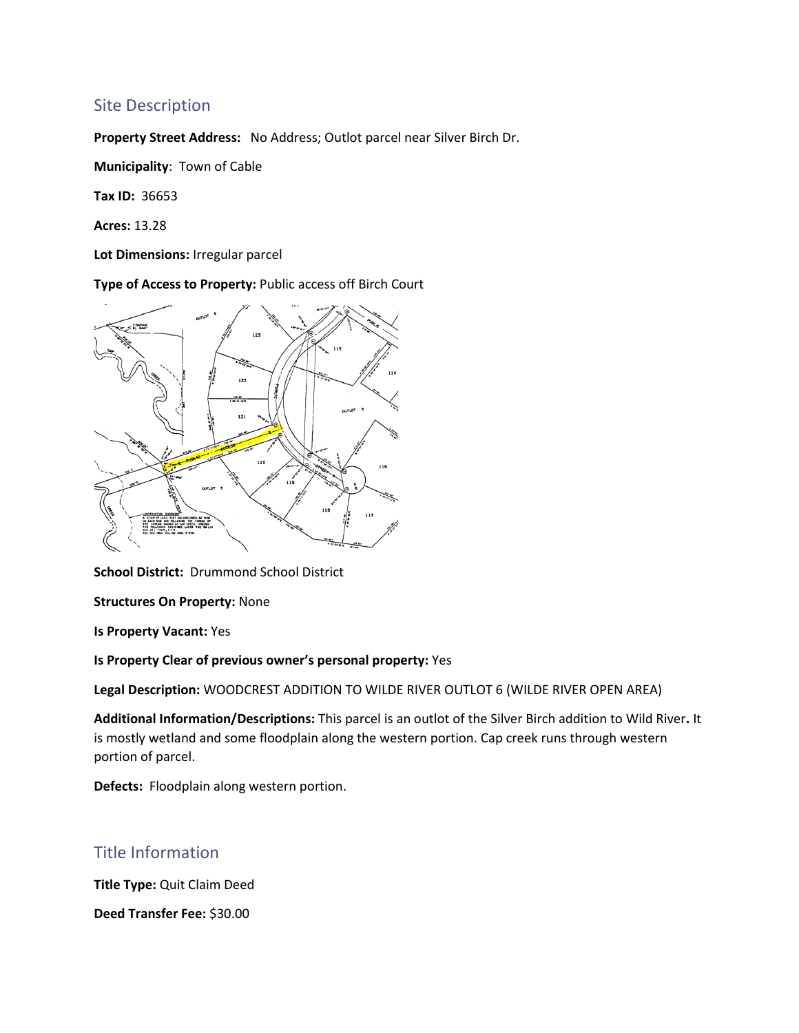#### Site Description

**Property Street Address:** No Address; Outlot parcel near Silver Birch Dr.

**Municipality**: Town of Cable

**Tax ID:** 36653

**Acres:** 13.28

**Lot Dimensions:** Irregular parcel

**Type of Access to Property:** Public access off Birch Court



**School District:** Drummond School District

**Structures On Property:** None

**Is Property Vacant:** Yes

**Is Property Clear of previous owner's personal property:** Yes

**Legal Description:** WOODCREST ADDITION TO WILDE RIVER OUTLOT 6 (WILDE RIVER OPEN AREA)

**Additional Information/Descriptions:** This parcel is an outlot of the Silver Birch addition to Wild River**.** It is mostly wetland and some floodplain along the western portion. Cap creek runs through western portion of parcel.

**Defects:** Floodplain along western portion.

#### Title Information

**Title Type:** Quit Claim Deed

**Deed Transfer Fee:** \$30.00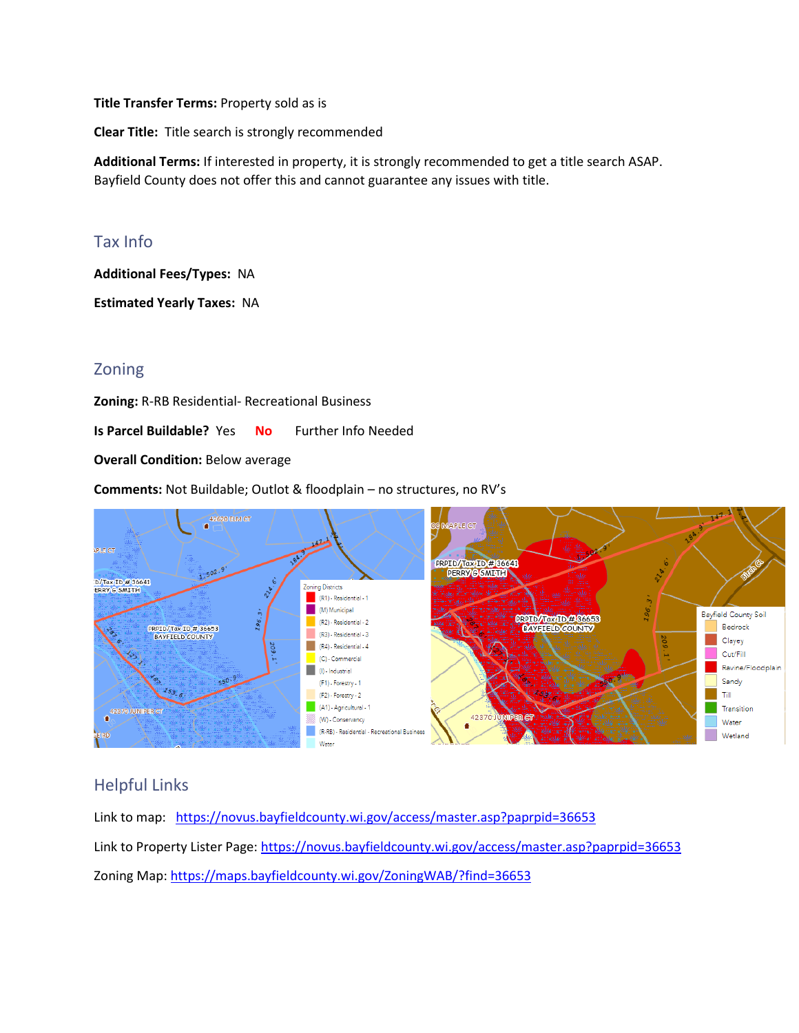**Title Transfer Terms:** Property sold as is

**Clear Title:** Title search is strongly recommended

**Additional Terms:** If interested in property, it is strongly recommended to get a title search ASAP. Bayfield County does not offer this and cannot guarantee any issues with title.

#### Tax Info

**Additional Fees/Types:** NA

**Estimated Yearly Taxes:** NA

#### Zoning

**Zoning:** R-RB Residential- Recreational Business

**Is Parcel Buildable?** Yes **No** Further Info Needed

**Overall Condition: Below average** 

**Comments:** Not Buildable; Outlot & floodplain – no structures, no RV's



### Helpful Links

Link to map: <https://novus.bayfieldcounty.wi.gov/access/master.asp?paprpid=36653> Link to Property Lister Page:<https://novus.bayfieldcounty.wi.gov/access/master.asp?paprpid=36653> Zoning Map: <https://maps.bayfieldcounty.wi.gov/ZoningWAB/?find=36653>